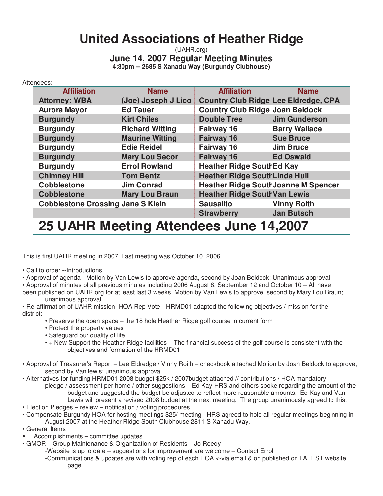# **United Associations of Heather Ridge**

(UAHR.org) **June 14, 2007 Regular Meeting Minutes 4:30pm -- 2685 S Xanadu Way (Burgundy Clubhouse)**

| Attendees: |                                          |                        |                                             |                      |  |  |  |  |
|------------|------------------------------------------|------------------------|---------------------------------------------|----------------------|--|--|--|--|
|            | <b>Affiliation</b>                       | <b>Name</b>            | <b>Affiliation</b>                          | <b>Name</b>          |  |  |  |  |
|            | <b>Attorney: WBA</b>                     | (Joe) Joseph J Lico    | <b>Country Club Ridge Lee Eldredge, CPA</b> |                      |  |  |  |  |
|            | <b>Aurora Mayor</b>                      | <b>Ed Tauer</b>        | <b>Country Club Ridge Joan Beldock</b>      |                      |  |  |  |  |
|            | <b>Burgundy</b>                          | <b>Kirt Chiles</b>     | <b>Double Tree</b>                          | <b>Jim Gunderson</b> |  |  |  |  |
|            | <b>Burgundy</b>                          | <b>Richard Witting</b> | Fairway 16                                  | <b>Barry Wallace</b> |  |  |  |  |
|            | <b>Burgundy</b>                          | <b>Maurine Witting</b> | <b>Fairway 16</b>                           | <b>Sue Bruce</b>     |  |  |  |  |
|            | <b>Burgundy</b>                          | <b>Edie Reidel</b>     | Fairway 16                                  | <b>Jim Bruce</b>     |  |  |  |  |
|            | <b>Burgundy</b>                          | <b>Mary Lou Secor</b>  | <b>Fairway 16</b>                           | <b>Ed Oswald</b>     |  |  |  |  |
|            | <b>Burgundy</b>                          | <b>Errol Rowland</b>   | <b>Heather Ridge SouthEd Kay</b>            |                      |  |  |  |  |
|            | <b>Chimney Hill</b>                      | <b>Tom Bentz</b>       | <b>Heather Ridge South Linda Hull</b>       |                      |  |  |  |  |
|            | <b>Cobblestone</b>                       | <b>Jim Conrad</b>      | <b>Heather Ridge South Joanne M Spencer</b> |                      |  |  |  |  |
|            | <b>Cobblestone</b>                       | <b>Mary Lou Braun</b>  | <b>Heather Ridge South Van Lewis</b>        |                      |  |  |  |  |
|            | <b>Cobblestone Crossing Jane S Klein</b> |                        | <b>Sausalito</b>                            | <b>Vinny Roith</b>   |  |  |  |  |
|            |                                          |                        | <b>Strawberry</b>                           | <b>Jan Butsch</b>    |  |  |  |  |
|            |                                          | - -<br>---             | and the state of the state of               | <i>.</i>             |  |  |  |  |

**25 UAHR Meeting Attendees June 14,2007**

This is first UAHR meeting in 2007. Last meeting was October 10, 2006.

• Call to order --Introductions

• Approval of agenda - Motion by Van Lewis to approve agenda, second by Joan Beldock; Unanimous approval

• Approval of minutes of all previous minutes including 2006 August 8, September 12 and October 10 – All have

been published on UAHR.org for at least last 3 weeks. Motion by Van Lewis to approve, second by Mary Lou Braun; unanimous approval

• Re-affirmation of UAHR mission -HOA Rep Vote --HRMD01 adapted the following objectives / mission for the district:

- Preserve the open space the 18 hole Heather Ridge golf course in current form
- Protect the property values
- Safeguard our quality of life
- + New Support the Heather Ridge facilities The financial success of the golf course is consistent with the objectives and formation of the HRMD01
- Approval of Treasurer's Report Lee Eldredge / Vinny Roith checkbook attached Motion by Joan Beldock to approve, second by Van lewis; unanimous approval
- Alternatives for funding HRMD01 2008 budget \$25k / 2007budget attached // contributions / HOA mandatory pledge / assessment per home / other suggestions – Ed Kay-HRS and others spoke regarding the amount of the budget and suggested the budget be adjusted to reflect more reasonable amounts. Ed Kay and Van Lewis will present a revised 2008 budget at the next meeting. The group unanimously agreed to this.
- Election Pledges review notification / voting procedures
- Compensate Burgundy HOA for hosting meetings \$25/ meeting –HRS agreed to hold all regular meetings beginning in August 2007 at the Heather Ridge South Clubhouse 2811 S Xanadu Way.
- General Items
- Accomplishments committee updates
- GMOR Group Maintenance & Organization of Residents Jo Reedy
	- -Website is up to date suggestions for improvement are welcome Contact Errol
		- -Communications & updates are with voting rep of each HOA <-via email & on published on LATEST website page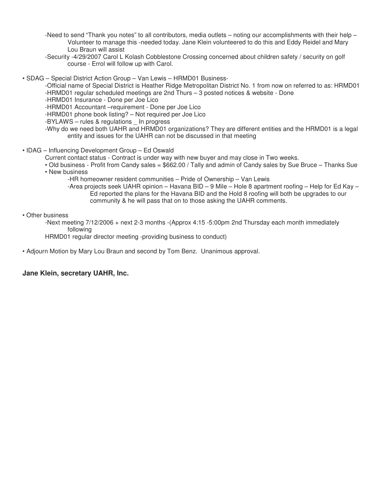- -Need to send "Thank you notes" to all contributors, media outlets noting our accomplishments with their help Volunteer to manage this -needed today. Jane Klein volunteered to do this and Eddy Reidel and Mary Lou Braun will assist
- -Security -4/29/2007 Carol L Kolash Cobblestone Crossing concerned about children safety / security on golf course - Errol will follow up with Carol.

• SDAG – Special District Action Group – Van Lewis – HRMD01 Business-

-Official name of Special District is Heather Ridge Metropolitan District No. 1 from now on referred to as: HRMD01 -HRMD01 regular scheduled meetings are 2nd Thurs – 3 posted notices & website - Done

-HRMD01 Insurance - Done per Joe Lico

-HRMD01 Accountant –requirement - Done per Joe Lico

-HRMD01 phone book listing? – Not required per Joe Lico

-BYLAWS – rules & regulations \_ In progress

-Why do we need both UAHR and HRMD01 organizations? They are different entities and the HRMD01 is a legal entity and issues for the UAHR can not be discussed in that meeting

• IDAG – Influencing Development Group – Ed Oswald

Current contact status - Contract is under way with new buyer and may close in Two weeks.

• Old business - Profit from Candy sales = \$662.00 / Tally and admin of Candy sales by Sue Bruce – Thanks Sue • New business

-HR homeowner resident communities – Pride of Ownership – Van Lewis

-Area projects seek UAHR opinion – Havana BID – 9 Mile – Hole 8 apartment roofing – Help for Ed Kay – Ed reported the plans for the Havana BID and the Hold 8 roofing will both be upgrades to our community & he will pass that on to those asking the UAHR comments.

#### • Other business

-Next meeting 7/12/2006 + next 2-3 months -(Approx 4:15 -5:00pm 2nd Thursday each month immediately following

HRMD01 regular director meeting -providing business to conduct)

• Adjourn Motion by Mary Lou Braun and second by Tom Benz. Unanimous approval.

#### **Jane Klein, secretary UAHR, Inc.**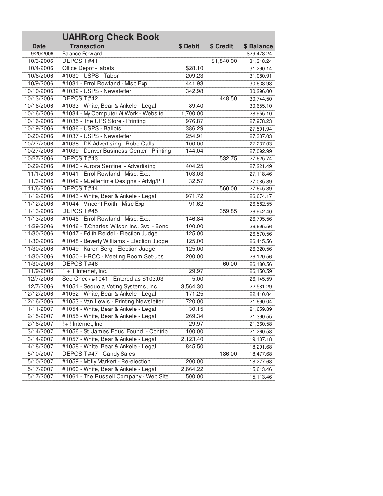|            | <b>UAHR.org Check Book</b>                |          |            |             |
|------------|-------------------------------------------|----------|------------|-------------|
| Date       | <b>Transaction</b>                        | \$ Debit | \$ Credit  | \$ Balance  |
| 9/20/2006  | Balance Forw ard                          |          |            | \$29,478.24 |
| 10/3/2006  | DEPOSIT#41                                |          | \$1,840.00 | 31,318.24   |
| 10/4/2006  | Office Depot - labels                     | \$28.10  |            | 31,290.14   |
| 10/6/2006  | #1030 - USPS - Tabor                      | 209.23   |            | 31,080.91   |
| 10/9/2006  | #1031 - Errol Rowland - Misc Exp          | 441.93   |            | 30,638.98   |
| 10/10/2006 | #1032 - USPS - Newsletter                 | 342.98   |            | 30,296.00   |
| 10/13/2006 | <b>DEPOSIT#42</b>                         |          | 448.50     | 30,744.50   |
| 10/16/2006 | #1033 - White, Bear & Ankele - Legal      | 89.40    |            | 30,655.10   |
| 10/16/2006 | #1034 - My Computer At Work - Website     | 1,700.00 |            | 28,955.10   |
| 10/16/2006 | #1035 - The UPS Store - Printing          | 976.87   |            | 27,978.23   |
| 10/19/2006 | #1036 - USPS - Ballots                    | 386.29   |            | 27,591.94   |
| 10/20/2006 | #1037 - USPS - Newsletter                 | 254.91   |            | 27,337.03   |
| 10/27/2006 | #1038 - DK Advertising - Robo Calls       | 100.00   |            | 27,237.03   |
| 10/27/2006 | #1039 - Denver Business Center - Printing | 144.04   |            | 27,092.99   |
| 10/27/2006 | <b>DEPOSIT#43</b>                         |          | 532.75     | 27,625.74   |
| 10/29/2006 | #1040 - Aurora Sentinel - Advertising     | 404.25   |            | 27,221.49   |
| 11/1/2006  | #1041 - Errol Rowland - Misc. Exp.        | 103.03   |            | 27,118.46   |
| 11/3/2006  | #1042 - Muellertime Designs - Advtg/PR    | 32.57    |            | 27,085.89   |
| 11/6/2006  | <b>DEPOSIT #44</b>                        |          | 560.00     | 27,645.89   |
| 11/12/2006 | #1043 - White, Bear & Ankele - Legal      | 971.72   |            | 26,674.17   |
| 11/12/2006 | #1044 - Vincent Roith - Misc Exp          | 91.62    |            | 26,582.55   |
| 11/13/2006 | <b>DEPOSIT#45</b>                         |          | 359.85     | 26,942.40   |
| 11/13/2006 | #1045 - Errol Rowland - Misc. Exp.        | 146.84   |            | 26,795.56   |
| 11/29/2006 | #1046 - T.Charles Wilson Ins. Svc. - Bond | 100.00   |            | 26,695.56   |
| 11/30/2006 | #1047 - Edith Reidel - Election Judge     | 125.00   |            | 26,570.56   |
| 11/30/2006 | #1048 - Beverly Williams - Election Judge | 125.00   |            | 26,445.56   |
| 11/30/2006 | #1049 - Karen Berg - Election Judge       | 125.00   |            | 26,320.56   |
| 11/30/2006 | #1050 - HRCC - Meeting Room Set-ups       | 200.00   |            | 26,120.56   |
| 11/30/2006 | <b>DEPOSIT#46</b>                         |          | 60.00      | 26,180.56   |
| 11/9/2006  | $1 + 1$ Internet, Inc.                    | 29.97    |            | 26,150.59   |
| 12/7/2006  | See Check #1041 - Entered as \$103.03     | 5.00     |            | 26,145.59   |
| 12/7/2006  | #1051 - Sequoia Voting Systems, Inc.      | 3,564.30 |            | 22,581.29   |
| 12/12/2006 | #1052 - White, Bear & Ankele - Legal      | 171.25   |            | 22,410.04   |
| 12/16/2006 | #1053 - Van Lewis - Printing Newsletter   | 720.00   |            | 21,690.04   |
| 1/11/2007  | #1054 - White, Bear & Ankele - Legal      | 30.15    |            | 21,659.89   |
| 2/15/2007  | #1055 - White, Bear & Ankele - Legal      | 269.34   |            | 21,390.55   |
| 2/16/2007  | $! + !$ Internet, Inc.                    | 29.97    |            | 21,360.58   |
| 3/14/2007  | #1056 - St. James Educ. Found. - Contrib  | 100.00   |            | 21,260.58   |
| 3/14/2007  | #1057 - White, Bear & Ankele - Legal      | 2,123.40 |            | 19,137.18   |
| 4/18/2007  | #1058 - White, Bear & Ankele - Legal      | 845.50   |            | 18,291.68   |
| 5/10/2007  | DEPOSIT #47 - Candy Sales                 |          | 186.00     | 18,477.68   |
| 5/10/2007  | #1059 - Molly Markert - Re-election       | 200.00   |            | 18,277.68   |
| 5/17/2007  | #1060 - White, Bear & Ankele - Legal      | 2,664.22 |            | 15,613.46   |
| 5/17/2007  | #1061 - The Russell Company - Web Site    | 500.00   |            | 15,113.46   |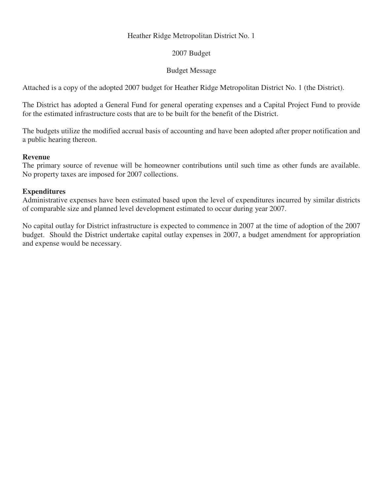#### Heather Ridge Metropolitan District No. 1

### 2007 Budget

### Budget Message

Attached is a copy of the adopted 2007 budget for Heather Ridge Metropolitan District No. 1 (the District).

The District has adopted a General Fund for general operating expenses and a Capital Project Fund to provide for the estimated infrastructure costs that are to be built for the benefit of the District.

The budgets utilize the modified accrual basis of accounting and have been adopted after proper notification and a public hearing thereon.

#### **Revenue**

The primary source of revenue will be homeowner contributions until such time as other funds are available. No property taxes are imposed for 2007 collections.

#### **Expenditures**

Administrative expenses have been estimated based upon the level of expenditures incurred by similar districts of comparable size and planned level development estimated to occur during year 2007.

No capital outlay for District infrastructure is expected to commence in 2007 at the time of adoption of the 2007 budget. Should the District undertake capital outlay expenses in 2007, a budget amendment for appropriation and expense would be necessary.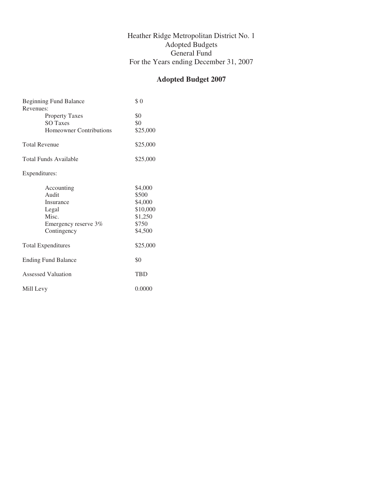#### Heather Ridge Metropolitan District No. 1 Adopted Budgets General Fund For the Years ending December 31, 2007

## **Adopted Budget 2007**

| <b>Beginning Fund Balance</b><br>Revenues: | \$0        |
|--------------------------------------------|------------|
| <b>Property Taxes</b>                      | \$0        |
| <b>SO Taxes</b>                            | \$0        |
| Homeowner Contributions                    | \$25,000   |
| <b>Total Revenue</b>                       | \$25,000   |
| Total Funds Available                      | \$25,000   |
| Expenditures:                              |            |
| Accounting                                 | \$4,000    |
| Audit                                      | \$500      |
| Insurance                                  | \$4,000    |
| Legal                                      | \$10,000   |
| Misc.                                      | \$1,250    |
| Emergency reserve 3%                       | \$750      |
| Contingency                                | \$4,500    |
| <b>Total Expenditures</b>                  | \$25,000   |
| <b>Ending Fund Balance</b>                 | \$0        |
| Assessed Valuation                         | <b>TRD</b> |
| Mill Levy                                  | 0.0000     |